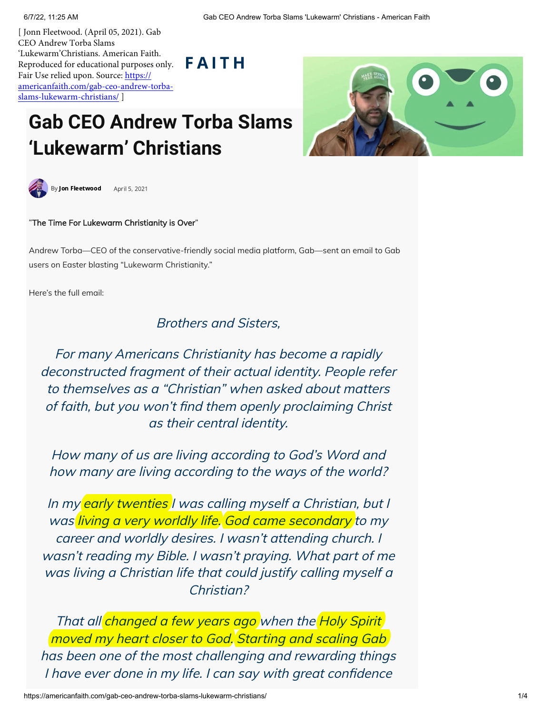[ Jonn Fleetwood. (April 05, 2021). Gab CEO Andrew Torba Slams 'Lukewarm'Christians. American Faith. Reproduced for educational purposes only. Fair Use relied upon. Source: https:// [americanfaith.com/gab-ceo-andrew-torba](https://americanfaith.com/gab-ceo-andrew-torba-slams-lukewarm-christians/)slams-lukewarm-christians/ ]

## **Gab CEO Andrew Torba Slams 'Lukewarm' Christians**





"The Time For Lukewarm Christianity is Over"

Andrew Torba—CEO of the conservative-friendly social media platform, Gab—sent an email to Gab users on Easter blasting "Lukewarm Christianity."

**FAITH** 

Here's the full email:

Brothers and Sisters,

For many Americans Christianity has become a rapidly deconstructed fragment of their actual identity. People refer to themselves as a "Christian" when asked about matters of faith, but you won't find them openly proclaiming Christ as their central identity.

How many of us are living according to God's Word and how many are living according to the ways of the world?

In my early twenties I was calling myself a Christian, but I was living a very worldly life. God came secondary to my career and worldly desires. I wasn't attending church. I wasn't reading my Bible. I wasn't praying. What part of me was living a Christian life that could justify calling myself a Christian?

That all *changed a few years ago* when the *Holy Spirit* moved my heart closer to God. Starting and scaling Gab has been one of the most challenging and rewarding things I have ever done in my life. I can say with great confidence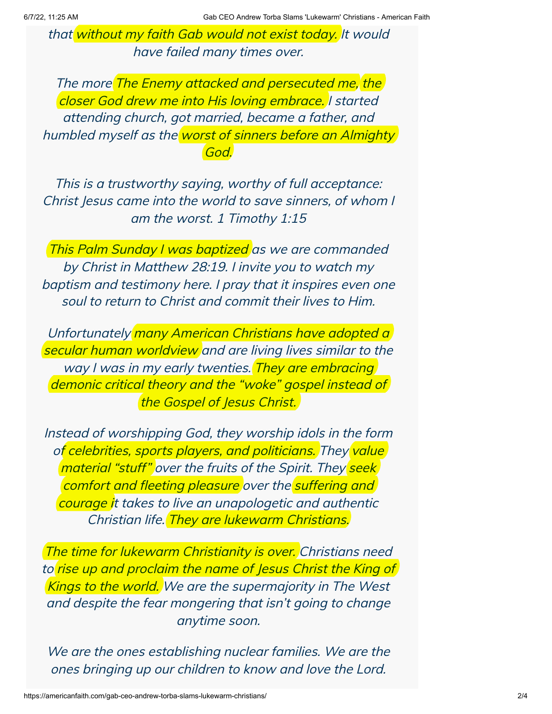that without my faith Gab would not exist today. It would have failed many times over.

The more The Enemy attacked and persecuted me, the closer God drew me into His loving embrace. I started attending church, got married, became <sup>a</sup> father, and humbled myself as the worst of sinners before an Almighty God.

This is <sup>a</sup> trustworthy saying, worthy of full acceptance: Christ Jesus came into the world to save sinners, of whom I am the worst. 1 Timothy 1:15

This Palm Sunday I was baptized as we are commanded by Christ in Matthew 28:19. I invite you to watch my baptism and testimony here. I pray that it inspires even one soul to return to Christ and commit their lives to Him.

Unfortunately many American Christians have adopted a secular human worldview and are living lives similar to the way I was in my early twenties. They are embracing demonic critical theory and the "woke" gospel instead of the Gospel of Jesus Christ.

Instead of worshipping God, they worship idols in the form of celebrities, sports players, and politicians. They value material "stuff" over the fruits of the Spirit. They seek comfort and fleeting pleasure over the suffering and courage it takes to live an unapologetic and authentic Christian life. They are lukewarm Christians.

The time for lukewarm Christianity is over. Christians need to rise up and proclaim the name of Jesus Christ the King of Kings to the world. We are the supermajority in The West and despite the fear mongering that isn't going to change anytime soon.

We are the ones establishing nuclear families. We are the ones bringing up our children to know and love the Lord.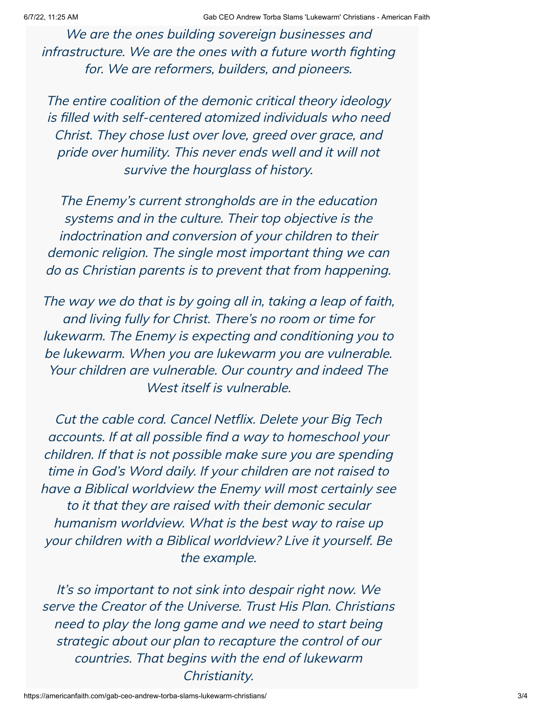We are the ones building sovereign businesses and infrastructure. We are the ones with <sup>a</sup> future worth fighting for. We are reformers, builders, and pioneers.

The entire coalition of the demonic critical theory ideology is filled with self-centered atomized individuals who need Christ. They chose lust over love, greed over grace, and pride over humility. This never ends well and it will not survive the hourglass of history.

The Enemy's current strongholds are in the education systems and in the culture. Their top objective is the indoctrination and conversion of your children to their demonic religion. The single most important thing we can do as Christian parents is to prevent that from happening.

The way we do that is by going all in, taking <sup>a</sup> leap of faith, and living fully for Christ. There's no room or time for lukewarm. The Enemy is expecting and conditioning you to be lukewarm. When you are lukewarm you are vulnerable. Your children are vulnerable. Our country and indeed The West itself is vulnerable.

Cut the cable cord. Cancel Netflix. Delete your Big Tech accounts. If at all possible find <sup>a</sup> way to homeschool your children. If that is not possible make sure you are spending time in God's Word daily. If your children are not raised to have <sup>a</sup> Biblical worldview the Enemy will most certainly see to it that they are raised with their demonic secular humanism worldview. What is the best way to raise up your children with <sup>a</sup> Biblical worldview? Live it yourself. Be the example.

It's so important to not sink into despair right now. We serve the Creator of the Universe. Trust His Plan. Christians need to play the long game and we need to start being strategic about our plan to recapture the control of our countries. That begins with the end of lukewarm Christianity.